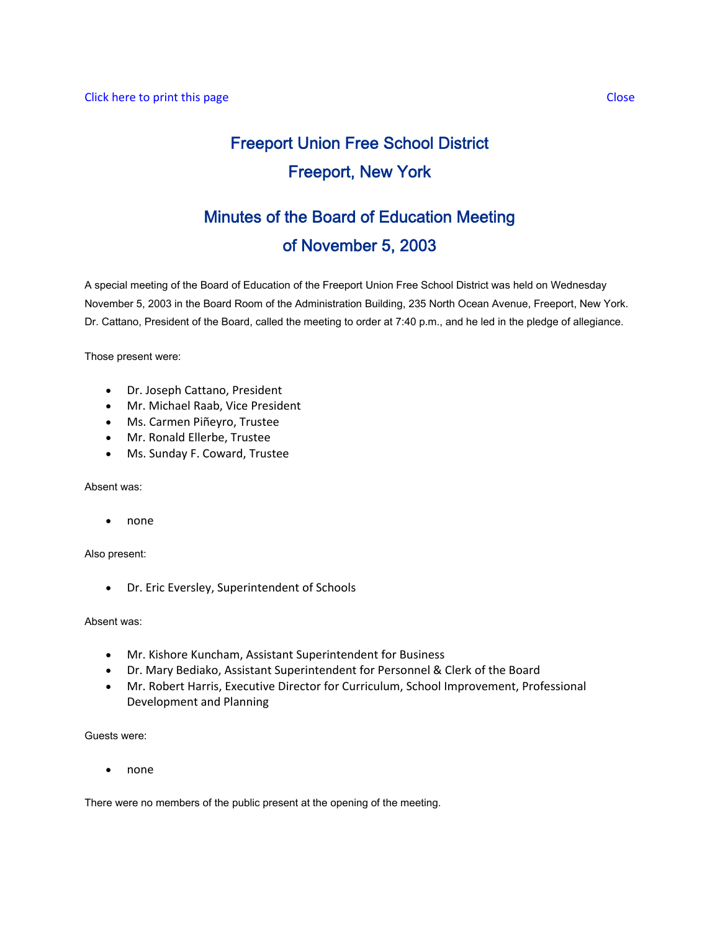# Freeport Union Free School District Freeport, New York

## Minutes of the Board of Education Meeting of November 5, 2003

A special meeting of the Board of Education of the Freeport Union Free School District was held on Wednesday November 5, 2003 in the Board Room of the Administration Building, 235 North Ocean Avenue, Freeport, New York. Dr. Cattano, President of the Board, called the meeting to order at 7:40 p.m., and he led in the pledge of allegiance.

Those present were:

- Dr. Joseph Cattano, President
- Mr. Michael Raab, Vice President
- Ms. Carmen Piñeyro, Trustee
- Mr. Ronald Ellerbe, Trustee
- Ms. Sunday F. Coward, Trustee

Absent was:

• none

Also present:

• Dr. Eric Eversley, Superintendent of Schools

Absent was:

- Mr. Kishore Kuncham, Assistant Superintendent for Business
- Dr. Mary Bediako, Assistant Superintendent for Personnel & Clerk of the Board
- Mr. Robert Harris, Executive Director for Curriculum, School Improvement, Professional Development and Planning

Guests were:

• none

There were no members of the public present at the opening of the meeting.